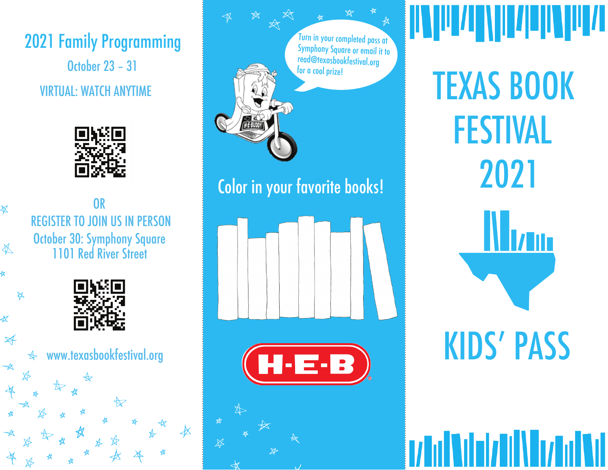2021 Family Programming VIRTUAL: WATCH ANYTIME October 23 – 31



REGISTER TO JOIN US IN PERSON OR October 30: Symphony Square 1101 Red River Street

 $\overline{\mathbb{X}}$ 

 $\frac{1}{2}$ 

≰

 $\cancel{\mathcal{A}}$ 

 $\overrightarrow{A}$ 



www.texasbookfestival.org

Turn in your completed pass at Symphony Square or email it to read@texasbookfestival.org for a cool prize!

## Color in your favorite books!





**AND BULLARY AND AND ALL PARTIES** TEXAS BOOK FESTIVAL 2021

KIDS' PASS

**1/ Tul Mulat/ Dil Mulat Mulat Null**